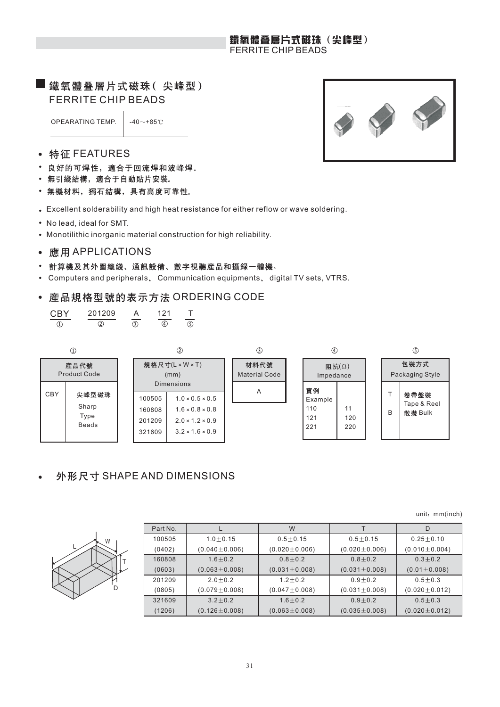### 鐵氧體叠層片式磁珠(尖峰型) FERRITE CHIP BEADS

## 鐵氧體叠層片式磁珠(尖峰型) FERRITE CHIP BEADS

OPEARATING TEMP.  $\vert$  -40 $\sim$ +85°C



- 特征 FEATURES  $\bullet$
- 良好的可焊性, 適合于回流焊和波峰焊。
- 無引綫結構, 適合于自動貼片安裝。
- 無機材料, 獨石結構, 具有高度可靠性。
- Excellent solderability and high heat resistance for either reflow or wave soldering.
- No lead, ideal for SMT.
- Monotilithic inorganic material construction for high reliability.
- 應用 APPLICATIONS
- 計算機及其外圍總綫、通訊設備、數字視聽産品和攝録一體機。  $\bullet$
- Computers and peripherals, Communication equipments, digital TV sets, VTRS.  $\bullet$

#### 産品規格型號的表示方法 ORDERING CODE  $\bullet$

| <b>CRY</b> | 201209 | イツイ | т |
|------------|--------|-----|---|
|            |        |     |   |



## 外形尺寸 SHAPE AND DIMENSIONS

unit: mm(inch)

|  | M | D |
|--|---|---|
|  |   |   |

| Part No. |                     | W                   |                     | D                   |
|----------|---------------------|---------------------|---------------------|---------------------|
| 100505   | $1.0 \pm 0.15$      | $0.5 + 0.15$        | $0.5 + 0.15$        | $0.25 + 0.10$       |
| (0402)   | $(0.040 \pm 0.006)$ | $(0.020 \pm 0.006)$ | $(0.020 \pm 0.006)$ | $(0.010 \pm 0.004)$ |
| 160808   | $1.6 + 0.2$         | $0.8 + 0.2$         | $0.8 + 0.2$         | $0.3 + 0.2$         |
| (0603)   | $(0.063 \pm 0.008)$ | $(0.031 \pm 0.008)$ | $(0.031 \pm 0.008)$ | $(0.01 \pm 0.008)$  |
| 201209   | $2.0 + 0.2$         | $1.2 + 0.2$         | $0.9 + 0.2$         | $0.5 + 0.3$         |
| (0805)   | $(0.079 \pm 0.008)$ | $(0.047 \pm 0.008)$ | $(0.031 \pm 0.008)$ | $(0.020 \pm 0.012)$ |
| 321609   | $3.2 \pm 0.2$       | $1.6 + 0.2$         | $0.9 + 0.2$         | $0.5 + 0.3$         |
| (1206)   | $(0.126 \pm 0.008)$ | $(0.063 \pm 0.008)$ | $(0.035 \pm 0.008)$ | $(0.020 \pm 0.012)$ |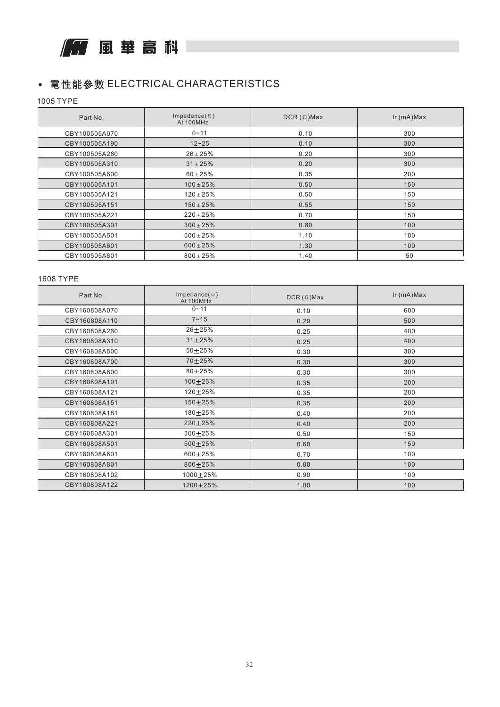

## • 電性能參數 ELECTRICAL CHARACTERISTICS

1005 TYPE

| Part No.      | Impedance( $\Omega$ )<br>At 100MHz | $DCR(\Omega)$ Max | $lr$ (mA) $Max$ |
|---------------|------------------------------------|-------------------|-----------------|
| CBY100505A070 | $0 - 11$                           | 0.10              | 300             |
| CBY100505A190 | $12 - 25$                          | 0.10              | 300             |
| CBY100505A260 | $26 \pm 25\%$                      | 0.20              | 300             |
| CBY100505A310 | $31 \pm 25\%$                      | 0.20              | 300             |
| CBY100505A600 | $60 \pm 25\%$                      | 0.35              | 200             |
| CBY100505A101 | $100 \pm 25\%$                     | 0.50              | 150             |
| CBY100505A121 | $120 \pm 25\%$                     | 0.50              | 150             |
| CBY100505A151 | $150 \pm 25\%$                     | 0.55              | 150             |
| CBY100505A221 | $220 \pm 25\%$                     | 0.70              | 150             |
| CBY100505A301 | $300 \pm 25\%$                     | 0.80              | 100             |
| CBY100505A501 | $500 \pm 25\%$                     | 1.10              | 100             |
| CBY100505A601 | $600 \pm 25\%$                     | 1.30              | 100             |
| CBY100505A801 | $800 \pm 25\%$                     | 1.40              | 50              |

#### 1608 TYPE

| Part No.      | Impedance( $\Omega$ )<br>At 100MHz | $DCR (\Omega)$ Max | $lr$ (mA) $Max$ |
|---------------|------------------------------------|--------------------|-----------------|
| CBY160808A070 | $0 - 11$                           | 0.10               | 600             |
| CBY160808A110 | $7 - 15$                           | 0.20               | 500             |
| CBY160808A260 | $26 + 25%$                         | 0.25               | 400             |
| CBY160808A310 | $31 + 25%$                         | 0.25               | 400             |
| CBY160808A500 | $50 + 25%$                         | 0.30               | 300             |
| CBY160808A700 | 70±25%                             | 0.30               | 300             |
| CBY160808A800 | $80 + 25%$                         | 0.30               | 300             |
| CBY160808A101 | 100±25%                            | 0.35               | 200             |
| CBY160808A121 | 120±25%                            | 0.35               | 200             |
| CBY160808A151 | 150±25%                            | 0.35               | 200             |
| CBY160808A181 | 180±25%                            | 0.40               | 200             |
| CBY160808A221 | $220 \pm 25\%$                     | 0.40               | 200             |
| CBY160808A301 | 300±25%                            | 0.50               | 150             |
| CBY160808A501 | 500±25%                            | 0.60               | 150             |
| CBY160808A601 | 600±25%                            | 0.70               | 100             |
| CBY160808A801 | 800±25%                            | 0.80               | 100             |
| CBY160808A102 | $1000 + 25%$                       | 0.90               | 100             |
| CBY160808A122 | $1200 + 25%$                       | 1.00               | 100             |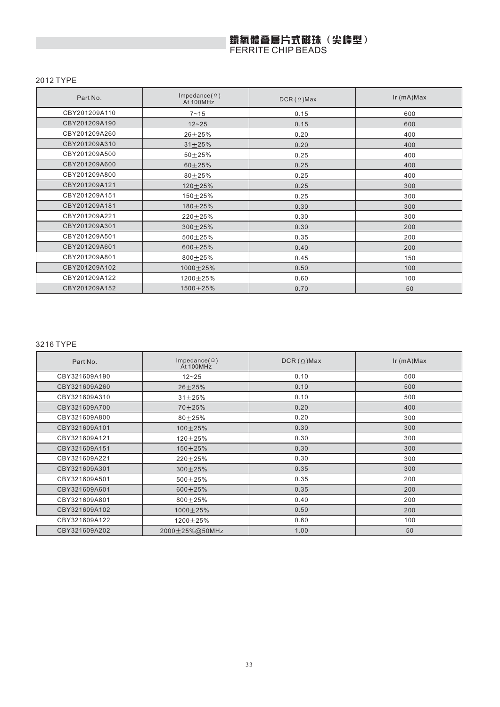# 鐵氧體叠層片式磁珠(尖峰型)<br>FERRITE CHIP BEADS

#### 2012 TYPE

| Part No.      | Impedance( $\Omega$ )<br>At 100MHz | $DCR (\Omega)$ Max | Ir (mA)Max |
|---------------|------------------------------------|--------------------|------------|
| CBY201209A110 | $7 - 15$                           | 0.15               | 600        |
| CBY201209A190 | $12 - 25$                          | 0.15               | 600        |
| CBY201209A260 | $26 + 25%$                         | 0.20               | 400        |
| CBY201209A310 | $31 + 25%$                         | 0.20               | 400        |
| CBY201209A500 | $50 + 25%$                         | 0.25               | 400        |
| CBY201209A600 | $60 + 25%$                         | 0.25               | 400        |
| CBY201209A800 | $80 + 25%$                         | 0.25               | 400        |
| CBY201209A121 | $120 + 25%$                        | 0.25               | 300        |
| CBY201209A151 | 150±25%                            | 0.25               | 300        |
| CBY201209A181 | 180±25%                            | 0.30               | 300        |
| CBY201209A221 | $220 + 25%$                        | 0.30               | 300        |
| CBY201209A301 | $300 + 25%$                        | 0.30               | 200        |
| CBY201209A501 | 500±25%                            | 0.35               | 200        |
| CBY201209A601 | $600 + 25%$                        | 0.40               | 200        |
| CBY201209A801 | $800 + 25%$                        | 0.45               | 150        |
| CBY201209A102 | 1000±25%                           | 0.50               | 100        |
| CBY201209A122 | $1200 + 25%$                       | 0.60               | 100        |
| CBY201209A152 | 1500±25%                           | 0.70               | 50         |

#### 3216 TYPE

| Part No.      | Impedance( $\Omega$ )<br>At 100MHz | $DCR(\Omega)$ Max | $lr$ (mA) $Max$ |
|---------------|------------------------------------|-------------------|-----------------|
| CBY321609A190 | $12 - 25$                          | 0.10              | 500             |
| CBY321609A260 | $26 + 25%$                         | 0.10              | 500             |
| CBY321609A310 | $31 + 25%$                         | 0.10              | 500             |
| CBY321609A700 | $70 + 25%$                         | 0.20              | 400             |
| CBY321609A800 | $80 + 25%$                         | 0.20              | 300             |
| CBY321609A101 | 100±25%                            | 0.30              | 300             |
| CBY321609A121 | $120 + 25%$                        | 0.30              | 300             |
| CBY321609A151 | $150 + 25%$                        | 0.30              | 300             |
| CBY321609A221 | $220 \pm 25%$                      | 0.30              | 300             |
| CBY321609A301 | $300 \pm 25\%$                     | 0.35              | 300             |
| CBY321609A501 | 500±25%                            | 0.35              | 200             |
| CBY321609A601 | $600 + 25%$                        | 0.35              | 200             |
| CBY321609A801 | $800 + 25%$                        | 0.40              | 200             |
| CBY321609A102 | $1000 + 25%$                       | 0.50              | 200             |
| CBY321609A122 | $1200 + 25%$                       | 0.60              | 100             |
| CBY321609A202 | $2000 \pm 25\%$ @50MHz             | 1.00              | 50              |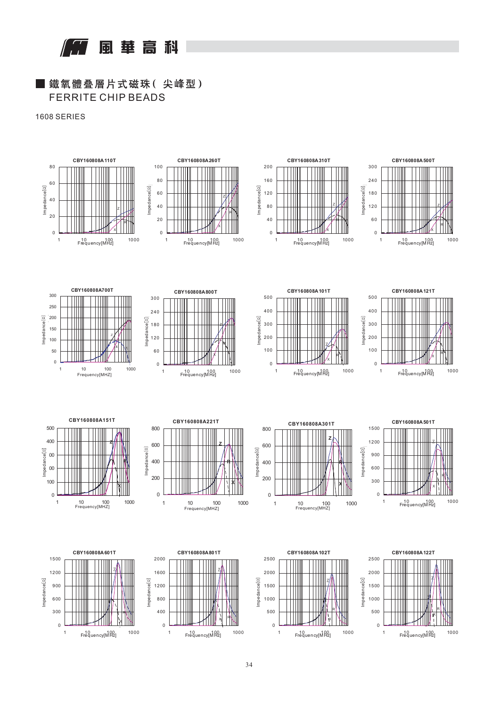風華高科

## ■ 鐵氧體叠層片式磁珠(尖峰型) FERRITE CHIP BEADS

1608 SERIES































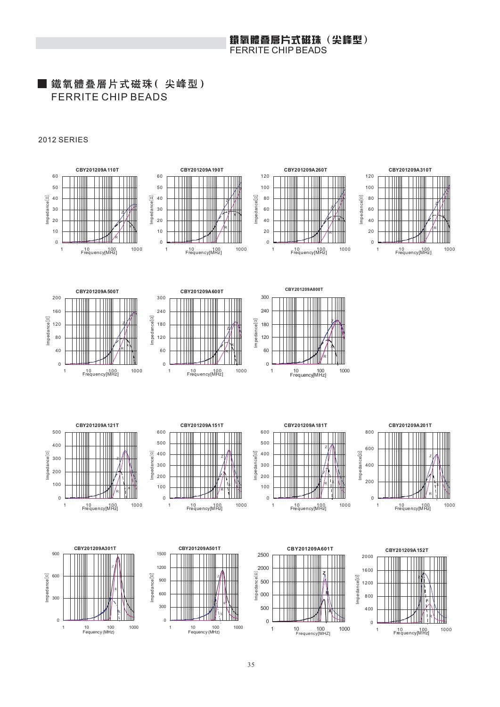#### 鐵氧體叠層片式磁珠(尖峰型) FERRITE CHIP BEADS

## ■ 鐵氧體叠層片式磁珠(尖峰型) FERRITE CHIP BEADS

#### 2012 SERIES

Impedance[Ù]

Impedance

 $Impedance[\Omega]$ 



Z

Impedance[Ù]

Impedance

Impedance $[0]$ 

k K

**CBY201209A 110T**



**CBY201209A 190T**

Z

R X









1 10 100<br>Frequency[MHz] 1000